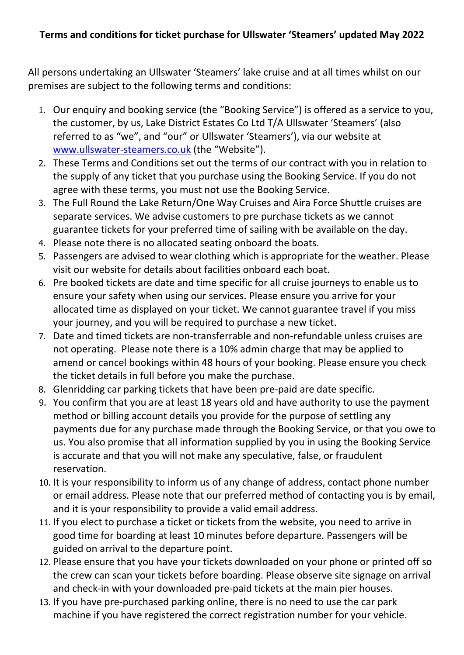All persons undertaking an Ullswater 'Steamers' lake cruise and at all times whilst on our premises are subject to the following terms and conditions:

- 1. Our enquiry and booking service (the "Booking Service") is offered as a service to you, the customer, by us, Lake District Estates Co Ltd T/A Ullswater 'Steamers' (also referred to as "we", and "our" or Ullswater 'Steamers'), via our website at [www.ullswater-steamers.co.uk](http://www.ullswater-steamers.co.uk/) (the "Website").
- 2. These Terms and Conditions set out the terms of our contract with you in relation to the supply of any ticket that you purchase using the Booking Service. If you do not agree with these terms, you must not use the Booking Service.
- 3. The Full Round the Lake Return/One Way Cruises and Aira Force Shuttle cruises are separate services. We advise customers to pre purchase tickets as we cannot guarantee tickets for your preferred time of sailing with be available on the day.
- 4. Please note there is no allocated seating onboard the boats.
- 5. Passengers are advised to wear clothing which is appropriate for the weather. Please visit our website for details about facilities onboard each boat.
- 6. Pre booked tickets are date and time specific for all cruise journeys to enable us to ensure your safety when using our services. Please ensure you arrive for your allocated time as displayed on your ticket. We cannot guarantee travel if you miss your journey, and you will be required to purchase a new ticket.
- 7. Date and timed tickets are non-transferrable and non-refundable unless cruises are not operating. Please note there is a 10% admin charge that may be applied to amend or cancel bookings within 48 hours of your booking. Please ensure you check the ticket details in full before you make the purchase.
- 8. Glenridding car parking tickets that have been pre-paid are date specific.
- 9. You confirm that you are at least 18 years old and have authority to use the payment method or billing account details you provide for the purpose of settling any payments due for any purchase made through the Booking Service, or that you owe to us. You also promise that all information supplied by you in using the Booking Service is accurate and that you will not make any speculative, false, or fraudulent reservation.
- 10. It is your responsibility to inform us of any change of address, contact phone number or email address. Please note that our preferred method of contacting you is by email, and it is your responsibility to provide a valid email address.
- 11. If you elect to purchase a ticket or tickets from the website, you need to arrive in good time for boarding at least 10 minutes before departure. Passengers will be guided on arrival to the departure point.
- 12. Please ensure that you have your tickets downloaded on your phone or printed off so the crew can scan your tickets before boarding. Please observe site signage on arrival and check-in with your downloaded pre-paid tickets at the main pier houses.
- 13. If you have pre-purchased parking online, there is no need to use the car park machine if you have registered the correct registration number for your vehicle.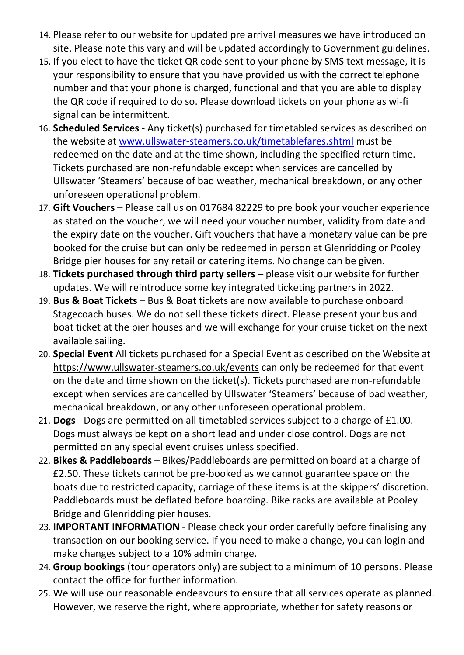- 14. Please refer to our website for updated pre arrival measures we have introduced on site. Please note this vary and will be updated accordingly to Government guidelines.
- 15. If you elect to have the ticket QR code sent to your phone by SMS text message, it is your responsibility to ensure that you have provided us with the correct telephone number and that your phone is charged, functional and that you are able to display the QR code if required to do so. Please download tickets on your phone as wi-fi signal can be intermittent.
- 16. **Scheduled Services** Any ticket(s) purchased for timetabled services as described on the website at [www.ullswater-steamers.co.uk/timetablefares.shtml](http://www.ullswater-steamers.co.uk/timetablefares.shtml) must be redeemed on the date and at the time shown, including the specified return time. Tickets purchased are non-refundable except when services are cancelled by Ullswater 'Steamers' because of bad weather, mechanical breakdown, or any other unforeseen operational problem.
- 17. **Gift Vouchers** Please call us on 017684 82229 to pre book your voucher experience as stated on the voucher, we will need your voucher number, validity from date and the expiry date on the voucher. Gift vouchers that have a monetary value can be pre booked for the cruise but can only be redeemed in person at Glenridding or Pooley Bridge pier houses for any retail or catering items. No change can be given.
- 18. **Tickets purchased through third party sellers**  please visit our website for further updates. We will reintroduce some key integrated ticketing partners in 2022.
- 19. **Bus & Boat Tickets**  Bus & Boat tickets are now available to purchase onboard Stagecoach buses. We do not sell these tickets direct. Please present your bus and boat ticket at the pier houses and we will exchange for your cruise ticket on the next available sailing.
- 20. **Special Event** All tickets purchased for a Special Event as described on the Website at <https://www.ullswater-steamers.co.uk/events> can only be redeemed for that event on the date and time shown on the ticket(s). Tickets purchased are non-refundable except when services are cancelled by Ullswater 'Steamers' because of bad weather, mechanical breakdown, or any other unforeseen operational problem.
- 21. **Dogs** Dogs are permitted on all timetabled services subject to a charge of £1.00. Dogs must always be kept on a short lead and under close control. Dogs are not permitted on any special event cruises unless specified.
- 22. **Bikes & Paddleboards** Bikes/Paddleboards are permitted on board at a charge of £2.50. These tickets cannot be pre-booked as we cannot guarantee space on the boats due to restricted capacity, carriage of these items is at the skippers' discretion. Paddleboards must be deflated before boarding. Bike racks are available at Pooley Bridge and Glenridding pier houses.
- 23. **IMPORTANT INFORMATION** Please check your order carefully before finalising any transaction on our booking service. If you need to make a change, you can login and make changes subject to a 10% admin charge.
- 24. **Group bookings** (tour operators only) are subject to a minimum of 10 persons. Please contact the office for further information.
- 25. We will use our reasonable endeavours to ensure that all services operate as planned. However, we reserve the right, where appropriate, whether for safety reasons or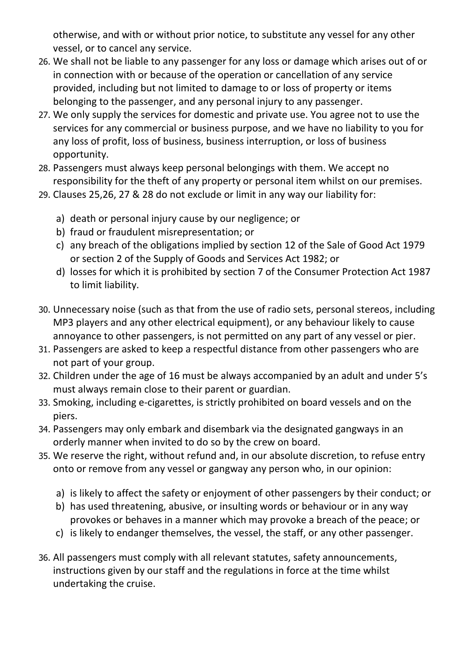otherwise, and with or without prior notice, to substitute any vessel for any other vessel, or to cancel any service.

- 26. We shall not be liable to any passenger for any loss or damage which arises out of or in connection with or because of the operation or cancellation of any service provided, including but not limited to damage to or loss of property or items belonging to the passenger, and any personal injury to any passenger.
- 27. We only supply the services for domestic and private use. You agree not to use the services for any commercial or business purpose, and we have no liability to you for any loss of profit, loss of business, business interruption, or loss of business opportunity.
- 28. Passengers must always keep personal belongings with them. We accept no responsibility for the theft of any property or personal item whilst on our premises.
- 29. Clauses 25,26, 27 & 28 do not exclude or limit in any way our liability for:
	- a) death or personal injury cause by our negligence; or
	- b) fraud or fraudulent misrepresentation; or
	- c) any breach of the obligations implied by section 12 of the Sale of Good Act 1979 or section 2 of the Supply of Goods and Services Act 1982; or
	- d) losses for which it is prohibited by section 7 of the Consumer Protection Act 1987 to limit liability.
- 30. Unnecessary noise (such as that from the use of radio sets, personal stereos, including MP3 players and any other electrical equipment), or any behaviour likely to cause annoyance to other passengers, is not permitted on any part of any vessel or pier.
- 31. Passengers are asked to keep a respectful distance from other passengers who are not part of your group.
- 32. Children under the age of 16 must be always accompanied by an adult and under 5's must always remain close to their parent or guardian.
- 33. Smoking, including e-cigarettes, is strictly prohibited on board vessels and on the piers.
- 34. Passengers may only embark and disembark via the designated gangways in an orderly manner when invited to do so by the crew on board.
- 35. We reserve the right, without refund and, in our absolute discretion, to refuse entry onto or remove from any vessel or gangway any person who, in our opinion:
	- a) is likely to affect the safety or enjoyment of other passengers by their conduct; or
	- b) has used threatening, abusive, or insulting words or behaviour or in any way provokes or behaves in a manner which may provoke a breach of the peace; or
	- c) is likely to endanger themselves, the vessel, the staff, or any other passenger.
- 36. All passengers must comply with all relevant statutes, safety announcements, instructions given by our staff and the regulations in force at the time whilst undertaking the cruise.